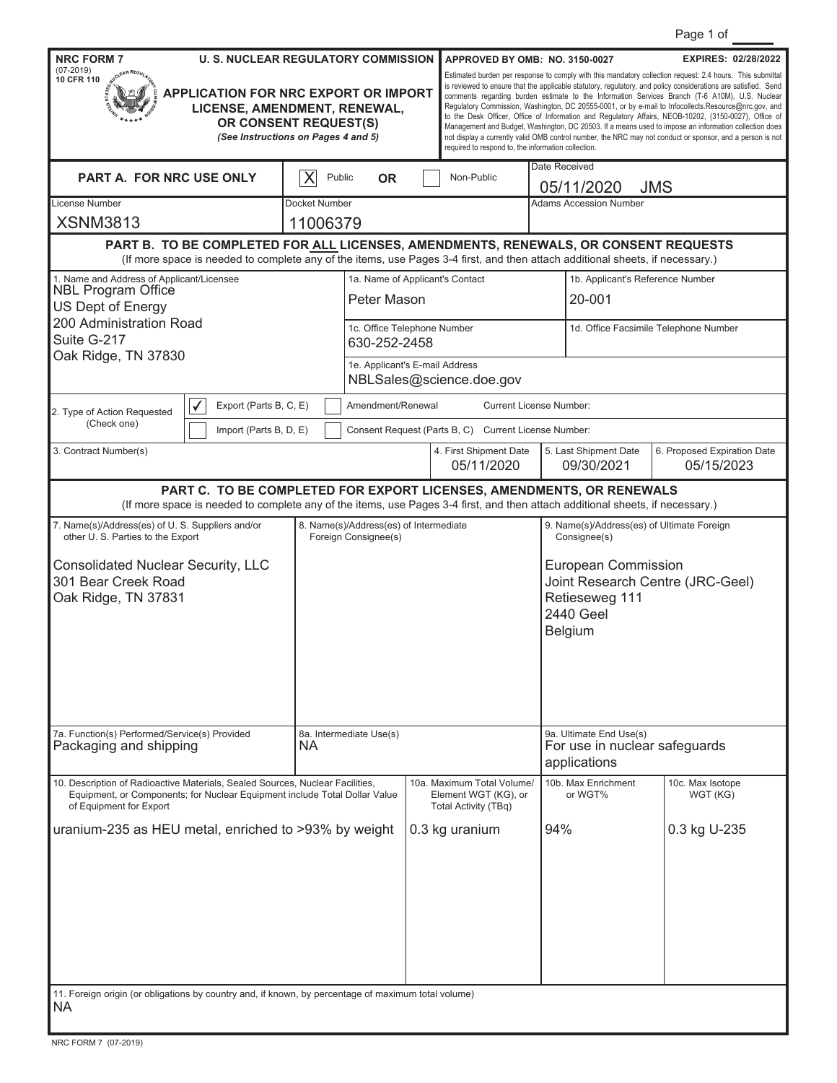| Page 1 of |  |  |
|-----------|--|--|
|           |  |  |

|                                                                                                                                                                                        |                                                                                                                                                                                                                      |                                                                                                          |                                                                |                                                                          |                                                                                                                                                                                                                                                                                                                                                                                                                                                                                                                                                                                                                                                                                                                                                                                                                             |               |                                             | Page TO                                    |  |  |
|----------------------------------------------------------------------------------------------------------------------------------------------------------------------------------------|----------------------------------------------------------------------------------------------------------------------------------------------------------------------------------------------------------------------|----------------------------------------------------------------------------------------------------------|----------------------------------------------------------------|--------------------------------------------------------------------------|-----------------------------------------------------------------------------------------------------------------------------------------------------------------------------------------------------------------------------------------------------------------------------------------------------------------------------------------------------------------------------------------------------------------------------------------------------------------------------------------------------------------------------------------------------------------------------------------------------------------------------------------------------------------------------------------------------------------------------------------------------------------------------------------------------------------------------|---------------|---------------------------------------------|--------------------------------------------|--|--|
| <b>NRC FORM 7</b>                                                                                                                                                                      | <b>U. S. NUCLEAR REGULATORY COMMISSION</b>                                                                                                                                                                           |                                                                                                          |                                                                |                                                                          | APPROVED BY OMB: NO. 3150-0027                                                                                                                                                                                                                                                                                                                                                                                                                                                                                                                                                                                                                                                                                                                                                                                              |               |                                             | <b>EXPIRES: 02/28/2022</b>                 |  |  |
| $(07 - 2019)$<br>10 CFR 110<br>APPLICATION FOR NRC EXPORT OR IMPORT<br>LICENSE, AMENDMENT, RENEWAL,<br>OR CONSENT REQUEST(S)<br>(See Instructions on Pages 4 and 5)                    |                                                                                                                                                                                                                      |                                                                                                          |                                                                |                                                                          | Estimated burden per response to comply with this mandatory collection request: 2.4 hours. This submittal<br>is reviewed to ensure that the applicable statutory, regulatory, and policy considerations are satisfied. Send<br>comments regarding burden estimate to the Information Services Branch (T-6 A10M), U.S. Nuclear<br>Regulatory Commission, Washington, DC 20555-0001, or by e-mail to Infocollects.Resource@nrc.gov, and<br>to the Desk Officer, Office of Information and Regulatory Affairs, NEOB-10202, (3150-0027), Office of<br>Management and Budget, Washington, DC 20503. If a means used to impose an information collection does<br>not display a currently valid OMB control number, the NRC may not conduct or sponsor, and a person is not<br>required to respond to, the information collection. |               |                                             |                                            |  |  |
| PART A. FOR NRC USE ONLY<br>X<br>Public<br><b>OR</b>                                                                                                                                   |                                                                                                                                                                                                                      |                                                                                                          |                                                                |                                                                          | Non-Public                                                                                                                                                                                                                                                                                                                                                                                                                                                                                                                                                                                                                                                                                                                                                                                                                  | Date Received |                                             |                                            |  |  |
| License Number                                                                                                                                                                         |                                                                                                                                                                                                                      | Docket Number                                                                                            |                                                                |                                                                          |                                                                                                                                                                                                                                                                                                                                                                                                                                                                                                                                                                                                                                                                                                                                                                                                                             |               | 05/11/2020<br><b>Adams Accession Number</b> | <b>JMS</b>                                 |  |  |
| <b>XSNM3813</b>                                                                                                                                                                        |                                                                                                                                                                                                                      | 11006379                                                                                                 |                                                                |                                                                          |                                                                                                                                                                                                                                                                                                                                                                                                                                                                                                                                                                                                                                                                                                                                                                                                                             |               |                                             |                                            |  |  |
|                                                                                                                                                                                        | PART B. TO BE COMPLETED FOR ALL LICENSES, AMENDMENTS, RENEWALS, OR CONSENT REQUESTS<br>(If more space is needed to complete any of the items, use Pages 3-4 first, and then attach additional sheets, if necessary.) |                                                                                                          |                                                                |                                                                          |                                                                                                                                                                                                                                                                                                                                                                                                                                                                                                                                                                                                                                                                                                                                                                                                                             |               |                                             |                                            |  |  |
| 1. Name and Address of Applicant/Licensee<br><b>NBL Program Office</b><br>US Dept of Energy                                                                                            |                                                                                                                                                                                                                      |                                                                                                          | 1a. Name of Applicant's Contact<br>Peter Mason                 |                                                                          |                                                                                                                                                                                                                                                                                                                                                                                                                                                                                                                                                                                                                                                                                                                                                                                                                             |               | 20-001                                      | 1b. Applicant's Reference Number           |  |  |
| 200 Administration Road<br>Suite G-217<br>Oak Ridge, TN 37830                                                                                                                          |                                                                                                                                                                                                                      |                                                                                                          |                                                                | 1c. Office Telephone Number<br>630-252-2458                              |                                                                                                                                                                                                                                                                                                                                                                                                                                                                                                                                                                                                                                                                                                                                                                                                                             |               | 1d. Office Facsimile Telephone Number       |                                            |  |  |
|                                                                                                                                                                                        |                                                                                                                                                                                                                      |                                                                                                          | 1e. Applicant's E-mail Address                                 |                                                                          | NBLSales@science.doe.gov                                                                                                                                                                                                                                                                                                                                                                                                                                                                                                                                                                                                                                                                                                                                                                                                    |               |                                             |                                            |  |  |
| 2. Type of Action Requested                                                                                                                                                            | Export (Parts B, C, E)                                                                                                                                                                                               |                                                                                                          | Amendment/Renewal                                              |                                                                          |                                                                                                                                                                                                                                                                                                                                                                                                                                                                                                                                                                                                                                                                                                                                                                                                                             |               | <b>Current License Number:</b>              |                                            |  |  |
| (Check one)                                                                                                                                                                            | Import (Parts B, D, E)                                                                                                                                                                                               |                                                                                                          |                                                                |                                                                          | Consent Request (Parts B, C) Current License Number:                                                                                                                                                                                                                                                                                                                                                                                                                                                                                                                                                                                                                                                                                                                                                                        |               |                                             |                                            |  |  |
| 3. Contract Number(s)                                                                                                                                                                  |                                                                                                                                                                                                                      |                                                                                                          |                                                                |                                                                          | 4. First Shipment Date<br>05/11/2020                                                                                                                                                                                                                                                                                                                                                                                                                                                                                                                                                                                                                                                                                                                                                                                        |               | 5. Last Shipment Date<br>09/30/2021         | 6. Proposed Expiration Date<br>05/15/2023  |  |  |
|                                                                                                                                                                                        | PART C. TO BE COMPLETED FOR EXPORT LICENSES, AMENDMENTS, OR RENEWALS<br>(If more space is needed to complete any of the items, use Pages 3-4 first, and then attach additional sheets, if necessary.)                |                                                                                                          |                                                                |                                                                          |                                                                                                                                                                                                                                                                                                                                                                                                                                                                                                                                                                                                                                                                                                                                                                                                                             |               |                                             |                                            |  |  |
| 7. Name(s)/Address(es) of U. S. Suppliers and/or<br>other U.S. Parties to the Export                                                                                                   |                                                                                                                                                                                                                      |                                                                                                          | 8. Name(s)/Address(es) of Intermediate<br>Foreign Consignee(s) |                                                                          |                                                                                                                                                                                                                                                                                                                                                                                                                                                                                                                                                                                                                                                                                                                                                                                                                             |               | Consignee(s)                                | 9. Name(s)/Address(es) of Ultimate Foreign |  |  |
| <b>Consolidated Nuclear Security, LLC</b><br>301 Bear Creek Road<br>Oak Ridge, TN 37831                                                                                                |                                                                                                                                                                                                                      | <b>European Commission</b><br>Joint Research Centre (JRC-Geel)<br>Retieseweg 111<br>2440 Geel<br>Belgium |                                                                |                                                                          |                                                                                                                                                                                                                                                                                                                                                                                                                                                                                                                                                                                                                                                                                                                                                                                                                             |               |                                             |                                            |  |  |
| 7a. Function(s) Performed/Service(s) Provided<br>8a. Intermediate Use(s)<br>Packaging and shipping<br><b>NA</b>                                                                        |                                                                                                                                                                                                                      |                                                                                                          |                                                                | 9a. Ultimate End Use(s)<br>For use in nuclear safeguards<br>applications |                                                                                                                                                                                                                                                                                                                                                                                                                                                                                                                                                                                                                                                                                                                                                                                                                             |               |                                             |                                            |  |  |
| 10. Description of Radioactive Materials, Sealed Sources, Nuclear Facilities,<br>Equipment, or Components; for Nuclear Equipment include Total Dollar Value<br>of Equipment for Export |                                                                                                                                                                                                                      |                                                                                                          |                                                                |                                                                          | 10a. Maximum Total Volume/<br>Element WGT (KG), or<br>Total Activity (TBq)                                                                                                                                                                                                                                                                                                                                                                                                                                                                                                                                                                                                                                                                                                                                                  |               | 10b. Max Enrichment<br>or WGT%              | 10c. Max Isotope<br>WGT (KG)               |  |  |
| uranium-235 as HEU metal, enriched to >93% by weight                                                                                                                                   |                                                                                                                                                                                                                      |                                                                                                          |                                                                |                                                                          | 0.3 kg uranium                                                                                                                                                                                                                                                                                                                                                                                                                                                                                                                                                                                                                                                                                                                                                                                                              | 94%           |                                             | 0.3 kg U-235                               |  |  |
| 11. Foreign origin (or obligations by country and, if known, by percentage of maximum total volume)<br><b>NA</b>                                                                       |                                                                                                                                                                                                                      |                                                                                                          |                                                                |                                                                          |                                                                                                                                                                                                                                                                                                                                                                                                                                                                                                                                                                                                                                                                                                                                                                                                                             |               |                                             |                                            |  |  |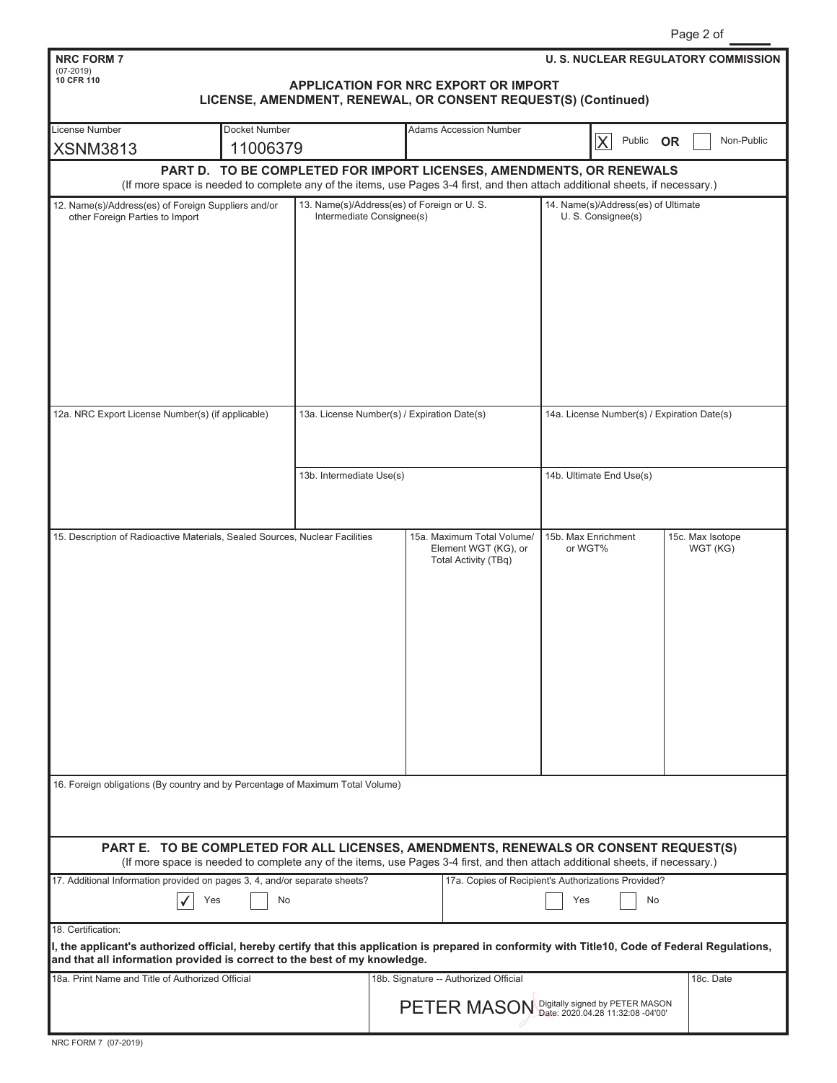| <b>NRC FORM 7</b><br>$(07-2019)$                                                                                                                                                                                               |                                                                      |                                                                         |  |  |                                              |                                                           |   |        |           | <b>U. S. NUCLEAR REGULATORY COMMISSION</b>  |
|--------------------------------------------------------------------------------------------------------------------------------------------------------------------------------------------------------------------------------|----------------------------------------------------------------------|-------------------------------------------------------------------------|--|--|----------------------------------------------|-----------------------------------------------------------|---|--------|-----------|---------------------------------------------|
| 10 CFR 110                                                                                                                                                                                                                     |                                                                      |                                                                         |  |  | APPLICATION FOR NRC EXPORT OR IMPORT         |                                                           |   |        |           |                                             |
|                                                                                                                                                                                                                                | LICENSE, AMENDMENT, RENEWAL, OR CONSENT REQUEST(S) (Continued)       |                                                                         |  |  |                                              |                                                           |   |        |           |                                             |
| License Number                                                                                                                                                                                                                 | Docket Number                                                        |                                                                         |  |  | <b>Adams Accession Number</b>                |                                                           |   |        |           |                                             |
| <b>XSNM3813</b>                                                                                                                                                                                                                | 11006379                                                             |                                                                         |  |  |                                              |                                                           | X | Public | <b>OR</b> | Non-Public                                  |
|                                                                                                                                                                                                                                | PART D. TO BE COMPLETED FOR IMPORT LICENSES, AMENDMENTS, OR RENEWALS |                                                                         |  |  |                                              |                                                           |   |        |           |                                             |
| (If more space is needed to complete any of the items, use Pages 3-4 first, and then attach additional sheets, if necessary.)                                                                                                  |                                                                      |                                                                         |  |  |                                              |                                                           |   |        |           |                                             |
| 12. Name(s)/Address(es) of Foreign Suppliers and/or<br>other Foreign Parties to Import                                                                                                                                         |                                                                      | 13. Name(s)/Address(es) of Foreign or U.S.<br>Intermediate Consignee(s) |  |  |                                              | 14. Name(s)/Address(es) of Ultimate<br>U. S. Consignee(s) |   |        |           |                                             |
|                                                                                                                                                                                                                                |                                                                      |                                                                         |  |  |                                              |                                                           |   |        |           |                                             |
|                                                                                                                                                                                                                                |                                                                      |                                                                         |  |  |                                              |                                                           |   |        |           |                                             |
|                                                                                                                                                                                                                                |                                                                      |                                                                         |  |  |                                              |                                                           |   |        |           |                                             |
|                                                                                                                                                                                                                                |                                                                      |                                                                         |  |  |                                              |                                                           |   |        |           |                                             |
|                                                                                                                                                                                                                                |                                                                      |                                                                         |  |  |                                              |                                                           |   |        |           |                                             |
|                                                                                                                                                                                                                                |                                                                      |                                                                         |  |  |                                              |                                                           |   |        |           |                                             |
|                                                                                                                                                                                                                                |                                                                      |                                                                         |  |  |                                              |                                                           |   |        |           |                                             |
|                                                                                                                                                                                                                                |                                                                      |                                                                         |  |  |                                              |                                                           |   |        |           |                                             |
|                                                                                                                                                                                                                                |                                                                      |                                                                         |  |  |                                              |                                                           |   |        |           |                                             |
| 12a. NRC Export License Number(s) (if applicable)                                                                                                                                                                              |                                                                      | 13a. License Number(s) / Expiration Date(s)                             |  |  |                                              |                                                           |   |        |           | 14a. License Number(s) / Expiration Date(s) |
|                                                                                                                                                                                                                                |                                                                      |                                                                         |  |  |                                              |                                                           |   |        |           |                                             |
|                                                                                                                                                                                                                                |                                                                      |                                                                         |  |  |                                              |                                                           |   |        |           |                                             |
|                                                                                                                                                                                                                                |                                                                      | 13b. Intermediate Use(s)                                                |  |  |                                              | 14b. Ultimate End Use(s)                                  |   |        |           |                                             |
|                                                                                                                                                                                                                                |                                                                      |                                                                         |  |  |                                              |                                                           |   |        |           |                                             |
|                                                                                                                                                                                                                                |                                                                      |                                                                         |  |  |                                              |                                                           |   |        |           |                                             |
| 15. Description of Radioactive Materials, Sealed Sources, Nuclear Facilities                                                                                                                                                   |                                                                      |                                                                         |  |  | 15a. Maximum Total Volume/                   | 15b. Max Enrichment                                       |   |        |           | 15c. Max Isotope                            |
|                                                                                                                                                                                                                                |                                                                      |                                                                         |  |  | Element WGT (KG), or<br>Total Activity (TBq) | or WGT%                                                   |   |        |           | WGT (KG)                                    |
|                                                                                                                                                                                                                                |                                                                      |                                                                         |  |  |                                              |                                                           |   |        |           |                                             |
|                                                                                                                                                                                                                                |                                                                      |                                                                         |  |  |                                              |                                                           |   |        |           |                                             |
|                                                                                                                                                                                                                                |                                                                      |                                                                         |  |  |                                              |                                                           |   |        |           |                                             |
|                                                                                                                                                                                                                                |                                                                      |                                                                         |  |  |                                              |                                                           |   |        |           |                                             |
|                                                                                                                                                                                                                                |                                                                      |                                                                         |  |  |                                              |                                                           |   |        |           |                                             |
|                                                                                                                                                                                                                                |                                                                      |                                                                         |  |  |                                              |                                                           |   |        |           |                                             |
|                                                                                                                                                                                                                                |                                                                      |                                                                         |  |  |                                              |                                                           |   |        |           |                                             |
|                                                                                                                                                                                                                                |                                                                      |                                                                         |  |  |                                              |                                                           |   |        |           |                                             |
|                                                                                                                                                                                                                                |                                                                      |                                                                         |  |  |                                              |                                                           |   |        |           |                                             |
|                                                                                                                                                                                                                                |                                                                      |                                                                         |  |  |                                              |                                                           |   |        |           |                                             |
| 16. Foreign obligations (By country and by Percentage of Maximum Total Volume)                                                                                                                                                 |                                                                      |                                                                         |  |  |                                              |                                                           |   |        |           |                                             |
|                                                                                                                                                                                                                                |                                                                      |                                                                         |  |  |                                              |                                                           |   |        |           |                                             |
|                                                                                                                                                                                                                                |                                                                      |                                                                         |  |  |                                              |                                                           |   |        |           |                                             |
| PART E. TO BE COMPLETED FOR ALL LICENSES, AMENDMENTS, RENEWALS OR CONSENT REQUEST(S)                                                                                                                                           |                                                                      |                                                                         |  |  |                                              |                                                           |   |        |           |                                             |
| (If more space is needed to complete any of the items, use Pages 3-4 first, and then attach additional sheets, if necessary.)<br>17a. Copies of Recipient's Authorizations Provided?                                           |                                                                      |                                                                         |  |  |                                              |                                                           |   |        |           |                                             |
| 17. Additional Information provided on pages 3, 4, and/or separate sheets?                                                                                                                                                     |                                                                      |                                                                         |  |  |                                              |                                                           |   |        |           |                                             |
| Yes<br>No<br>Yes<br>No                                                                                                                                                                                                         |                                                                      |                                                                         |  |  |                                              |                                                           |   |        |           |                                             |
| 18. Certification:                                                                                                                                                                                                             |                                                                      |                                                                         |  |  |                                              |                                                           |   |        |           |                                             |
| I, the applicant's authorized official, hereby certify that this application is prepared in conformity with Title10, Code of Federal Regulations,<br>and that all information provided is correct to the best of my knowledge. |                                                                      |                                                                         |  |  |                                              |                                                           |   |        |           |                                             |
| 18a. Print Name and Title of Authorized Official                                                                                                                                                                               |                                                                      |                                                                         |  |  | 18b. Signature -- Authorized Official        |                                                           |   |        |           | 18c. Date                                   |
|                                                                                                                                                                                                                                |                                                                      |                                                                         |  |  |                                              |                                                           |   |        |           |                                             |
|                                                                                                                                                                                                                                |                                                                      |                                                                         |  |  | PETER MASON Digitally signed by PETER MASON  |                                                           |   |        |           |                                             |
|                                                                                                                                                                                                                                |                                                                      |                                                                         |  |  |                                              |                                                           |   |        |           |                                             |